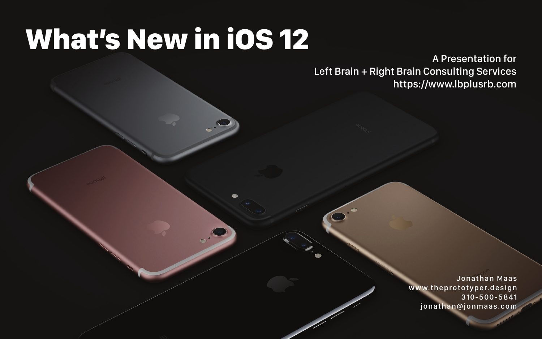# What's New in iOS 12

#### A Presentation for Left Brain + Right Brain Consulting Services https://www.lbplusrb.com

Jonathan Maas www.theprototyper.design 310-500-5841 jonathan@jonmaas.com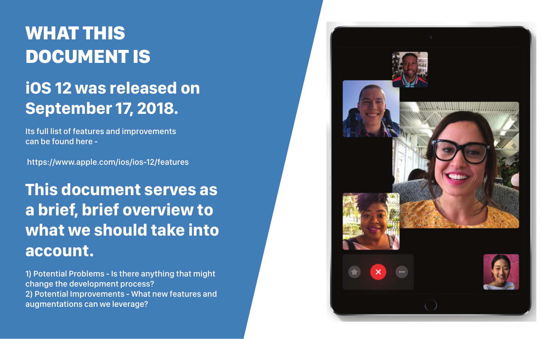# WHAT THIS DOCUMENT IS

# **iOS 12 was released on September 17, 2018.**

Its full list of features and improvements can be found here -

https://www.apple.com/ios/ios-12/features

# **This document serves as a brief, brief overview to what we should take into account.**

1) Potential Problems - Is there anything that might change the development process? 2) Potential Improvements - What new features and augmentations can we leverage?



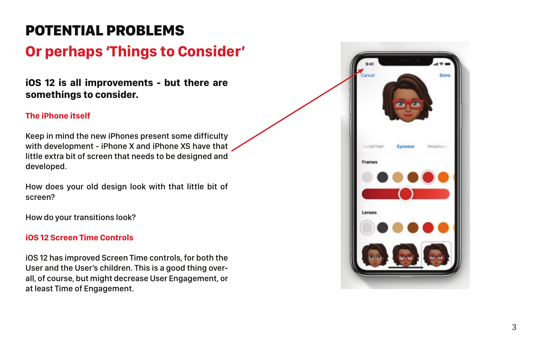#### **iOS 12 is all improvements - but there are somethings to consider.**

#### **The iPhone itself**

Keep in mind the new iPhones present some difficulty with development - iPhone X and iPhone XS have that little extra bit of screen that needs to be designed and developed.

How does your old design look with that little bit of screen?

How do your transitions look?

#### **iOS 12 Screen Time Controls**

iOS 12 has improved Screen Time controls, for both the User and the User's children. This is a good thing over all, of course, but might decrease User Engagement, or at least Time of Engagement.



### POTENTIAL PROBLEMS

### **Or perhaps 'Things to Consider'**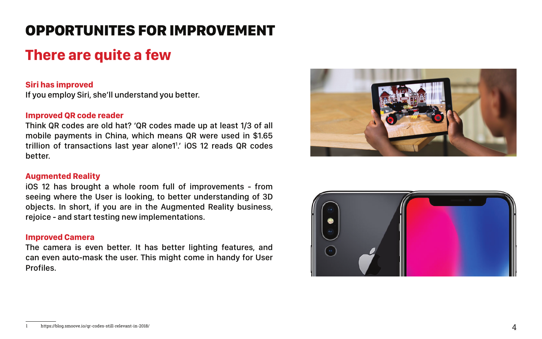### **There are quite a few**

#### **Siri has improved**

If you employ Siri, she'll understand you better.

#### **Improved QR code reader**

Think QR codes are old hat? 'QR codes made up at least 1/3 of all mobile payments in China, which means QR were used in \$1.65 trillion of transactions last year alone11 .' iOS 12 reads QR codes better.

#### **Augmented Reality**

iOS 12 has brought a whole room full of improvements - from seeing where the User is looking, to better understanding of 3D objects. In short, if you are in the Augmented Reality business, rejoice - and start testing new implementations.

#### **Improved Camera**

The camera is even better. It has better lighting features, and can even auto-mask the user. This might come in handy for User Profiles.





### OPPORTUNITES FOR IMPROVEMENT